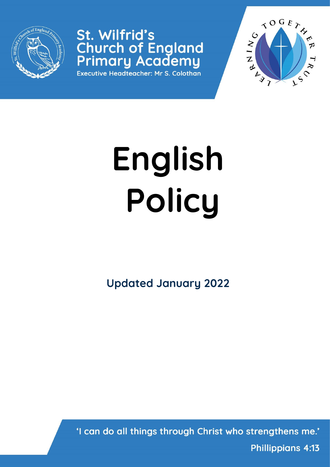

St. Wilfrid's **Church of England<br>Primary Academy** 

Executive Headteacher: Mr S. Colothan



# **English Policy**

**Updated January 2022**

'I can do all things through Christ who strengthens me.' **Phillippians 4:13**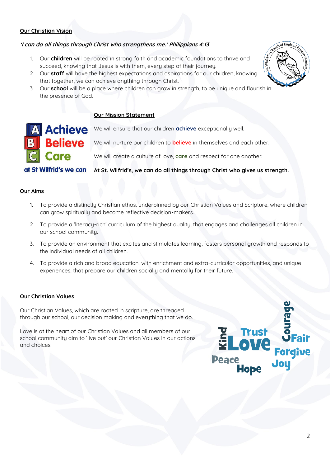# **Our Christian Vision**

# **'I can do all things through Christ who strengthens me.' Philippians 4:13**

- 1. Our **children** will be rooted in strong faith and academic foundations to thrive and succeed, knowing that Jesus is with them, every step of their journey.
- 2. Our **staff** will have the highest expectations and aspirations for our children, knowing that together, we can achieve anything through Christ.
- 3. Our **school** will be a place where children can grow in strength, to be unique and flourish in the presence of God.

### **Our Mission Statement**



**A Achieve** We will ensure that our children achieve exceptionally well.

We will nurture our children to **believe** in themselves and each other.

We will create a culture of love, **care** and respect for one another.

at St Wilfrid's we can At St. Wilfrid's, we can do all things through Christ who gives us strength.

#### **Our Aims**

- 1. To provide a distinctly Christian ethos, underpinned by our Christian Values and Scripture, where children can grow spiritually and become reflective decision-makers.
- 2. To provide a 'literacy-rich' curriculum of the highest quality, that engages and challenges all children in our school community.
- 3. To provide an environment that excites and stimulates learning, fosters personal growth and responds to the individual needs of all children.
- 4. To provide a rich and broad education, with enrichment and extra-curricular opportunities, and unique experiences, that prepare our children socially and mentally for their future.

#### **Our Christian Values**

Our Christian Values, which are rooted in scripture, are threaded through our school, our decision making and everything that we do.

Love is at the heart of our Christian Values and all members of our school community aim to 'live out' our Christian Values in our actions and choices.



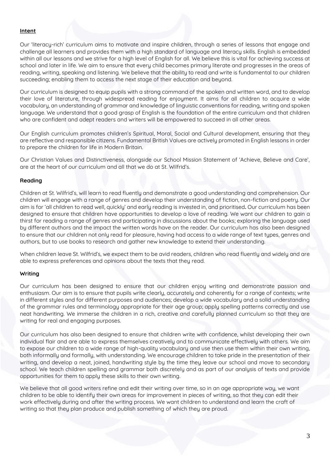## **Intent**

Our 'literacy-rich' curriculum aims to motivate and inspire children, through a series of lessons that engage and challenge all learners and provides them with a high standard of language and literacy skills. English is embedded within all our lessons and we strive for a high level of English for all. We believe this is vital for achieving success at school and later in life. We aim to ensure that every child becomes primary literate and progresses in the areas of reading, writing, speaking and listening. We believe that the ability to read and write is fundamental to our children succeeding; enabling them to access the next stage of their education and beyond.

Our curriculum is designed to equip pupils with a strong command of the spoken and written word, and to develop their love of literature, through widespread reading for enjoyment. It aims for all children to acquire a wide vocabulary, an understanding of grammar and knowledge of linguistic conventions for reading, writing and spoken language. We understand that a good grasp of English is the foundation of the entire curriculum and that children who are confident and adept readers and writers will be empowered to succeed in all other areas.

Our English curriculum promotes children's Spiritual, Moral, Social and Cultural development, ensuring that they are reflective and responsible citizens. Fundamental British Values are actively promoted in English lessons in order to prepare the children for life in Modern Britain.

Our Christian Values and Distinctiveness, alongside our School Mission Statement of 'Achieve, Believe and Care', are at the heart of our curriculum and all that we do at St. Wilfrid's.

#### **Reading**

Children at St. Wilfrid's, will learn to read fluently and demonstrate a good understanding and comprehension. Our children will engage with a range of genres and develop their understanding of fiction, non-fiction and poetry. Our aim is for 'all children to read well, quickly' and early reading is invested in, and prioritised**.** Our curriculum has been designed to ensure that children have opportunities to develop a love of reading. We want our children to gain a thirst for reading a range of genres and participating in discussions about the books; exploring the language used by different authors and the impact the written words have on the reader. Our curriculum has also been designed to ensure that our children not only read for pleasure, having had access to a wide range of text types, genres and authors, but to use books to research and gather new knowledge to extend their understanding.

When children leave St. Wilfrid's, we expect them to be avid readers, children who read fluently and widely and are able to express preferences and opinions about the texts that they read.

#### **Writing**

Our curriculum has been designed to ensure that our children enjoy writing and demonstrate passion and enthusiasm. Our aim is to ensure that pupils write clearly, accurately and coherently for a range of contexts; write in different styles and for different purposes and audiences; develop a wide vocabulary and a solid understanding of the grammar rules and terminology appropriate for their age group; apply spelling patterns correctly and use neat handwriting. We immerse the children in a rich, creative and carefully planned curriculum so that they are writing for real and engaging purposes.

Our curriculum has also been designed to ensure that children write with confidence, whilst developing their own individual flair and are able to express themselves creatively and to communicate effectively with others. We aim to expose our children to a wide range of high-quality vocabulary and use then use them within their own writing, both informally and formally, with understanding. We encourage children to take pride in the presentation of their writing, and develop a neat, joined, handwriting style by the time they leave our school and move to secondary school. We teach children spelling and grammar both discretely and as part of our analysis of texts and provide opportunities for them to apply these skills to their own writing.

We believe that all good writers refine and edit their writing over time, so in an age appropriate way, we want children to be able to identify their own areas for improvement in pieces of writing, so that they can edit their work effectively during and after the writing process. We want children to understand and learn the craft of writing so that they plan produce and publish something of which they are proud.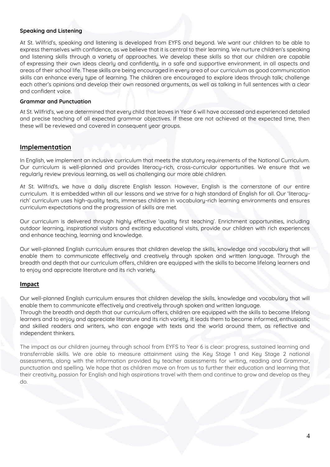#### **Speaking and Listening**

At St. Wilfrid's, speaking and listening is developed from EYFS and beyond. We want our children to be able to express themselves with confidence, as we believe that it is central to their learning. We nurture children's speaking and listening skills through a variety of approaches. We develop these skills so that our children are capable of expressing their own ideas clearly and confidently, in a safe and supportive environment, in all aspects and areas of their school life. These skills are being encouraged in every area of our curriculum as good communication skills can enhance every type of learning. The children are encouraged to explore ideas through talk; challenge each other's opinions and develop their own reasoned arguments, as well as talking in full sentences with a clear and confident voice.

#### **Grammar and Punctuation**

At St. Wilfrid's, we are determined that every child that leaves in Year 6 will have accessed and experienced detailed and precise teaching of all expected grammar objectives. If these are not achieved at the expected time, then these will be reviewed and covered in consequent year groups.

# **Implementation**

In English, we implement an inclusive curriculum that meets the statutory requirements of the National Curriculum. Our curriculum is well-planned and provides literacy-rich, cross-curricular opportunities. We ensure that we regularly review previous learning, as well as challenging our more able children.

At St. Wilfrid's, we have a daily discrete English lesson. However, English is the cornerstone of our entire curriculum. It is embedded within all our lessons and we strive for a high standard of English for all. Our 'literacyrich' curriculum uses high-quality texts, immerses children in vocabulary-rich learning environments and ensures curriculum expectations and the progression of skills are met.

Our curriculum is delivered through highly effective 'quality first teaching'. Enrichment opportunities, including outdoor learning, inspirational visitors and exciting educational visits, provide our children with rich experiences and enhance teaching, learning and knowledge.

Our well-planned English curriculum ensures that children develop the skills, knowledge and vocabulary that will enable them to communicate effectively and creatively through spoken and written language. Through the breadth and depth that our curriculum offers, children are equipped with the skills to become lifelong learners and to enjoy and appreciate literature and its rich variety.

#### **Impact**

Our well-planned English curriculum ensures that children develop the skills, knowledge and vocabulary that will enable them to communicate effectively and creatively through spoken and written language.

Through the breadth and depth that our curriculum offers, children are equipped with the skills to become lifelong learners and to enjou and appreciate literature and its rich variety. It leads them to become informed, enthusiastic and skilled readers and writers, who can engage with texts and the world around them, as reflective and independent thinkers.

The impact as our children journey through school from EYFS to Year 6 is clear: progress, sustained learning and transferrable skills. We are able to measure attainment using the Key Stage 1 and Key Stage 2 national assessments, along with the information provided by teacher assessments for writing, reading and Grammar, punctuation and spelling. We hope that as children move on from us to further their education and learning that their creativity, passion for English and high aspirations travel with them and continue to grow and develop as they do.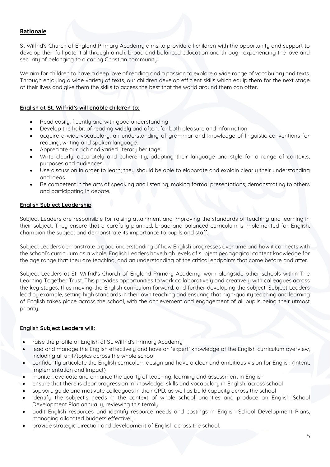# **Rationale**

St Wilfrid's Church of England Primary Academy aims to provide all children with the opportunity and support to develop their full potential through a rich, broad and balanced education and through experiencing the love and security of belonging to a caring Christian community.

We aim for children to have a deep love of reading and a passion to explore a wide range of vocabulary and texts. Through enjoying a wide variety of texts, our children develop efficient skills which equip them for the next stage of their lives and give them the skills to access the best that the world around them can offer.

### **English at St. Wilfrid's will enable children to:**

- Read easily, fluently and with good understanding
- Develop the habit of reading widely and often, for both pleasure and information
- acquire a wide vocabulary, an understanding of grammar and knowledge of linguistic conventions for reading, writing and spoken language.
- Appreciate our rich and varied literary heritage
- Write clearly, accurately and coherently, adapting their language and style for a range of contexts, purposes and audiences.
- Use discussion in order to learn; they should be able to elaborate and explain clearly their understanding and ideas.
- Be competent in the arts of speaking and listening, making formal presentations, demonstrating to others and participating in debate.

## **English Subject Leadership**

Subject Leaders are responsible for raising attainment and improving the standards of teaching and learning in their subject. They ensure that a carefully planned, broad and balanced curriculum is implemented for English, champion the subject and demonstrate its importance to pupils and staff.

Subject Leaders demonstrate a good understanding of how English progresses over time and how it connects with the school's curriculum as a whole. English Leaders have high levels of subject pedagogical content knowledge for the age range that they are teaching, and an understanding of the critical endpoints that come before and after.

Subject Leaders at St. Wilfrid's Church of England Primary Academy, work alongside other schools within The Learning Together Trust. This provides opportunities to work collaboratively and creatively with colleagues across the key stages, thus moving the English curriculum forward, and further developing the subject. Subject Leaders lead by example, setting high standards in their own teaching and ensuring that high-quality teaching and learning of English takes place across the school, with the achievement and engagement of all pupils being their utmost priority.

#### **English Subject Leaders will:**

- raise the profile of English at St. Wilfrid's Primary Academy
- lead and manage the English effectively and have an 'expert' knowledge of the English curriculum overview, including all unit/topics across the whole school
- confidently articulate the English curriculum design and have a clear and ambitious vision for English (Intent, Implementation and Impact)
- monitor, evaluate and enhance the quality of teaching, learning and assessment in English
- ensure that there is clear progression in knowledge, skills and vocabulary in English, across school
- support, guide and motivate colleagues in their CPD, as well as build capacity across the school
- identify the subject's needs in the context of whole school priorities and produce an English School Development Plan annually, reviewing this termly
- audit English resources and identify resource needs and costings in English School Development Plans, managing allocated budgets effectively.
- provide strategic direction and development of English across the school.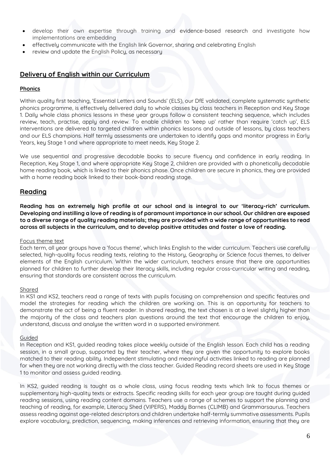- develop their own expertise through training and evidence-based research and investigate how implementations are embedding
- effectively communicate with the English link Governor, sharing and celebrating English
- review and update the English Policy, as necessary

# **Delivery of English within our Curriculum**

#### **Phonics**

Within quality first teaching, 'Essential Letters and Sounds' (ELS), our DfE validated, complete systematic synthetic phonics programme, is effectively delivered daily to whole classes by class teachers in Reception and Key Stage 1. Daily whole class phonics lessons in these year groups follow a consistent teaching sequence, which includes review, teach, practise, apply and review. To enable children to 'keep up' rather than require 'catch up', ELS interventions are delivered to targeted children within phonics lessons and outside of lessons, by class teachers and our ELS champions. Half termly assessments are undertaken to identify gaps and monitor progress in Early Years, key Stage 1 and where appropriate to meet needs, Key Stage 2.

We use sequential and progressive decodable books to secure fluency and confidence in early reading. In Reception, Key Stage 1, and where appropriate Key Stage 2, children are provided with a phonetically decodable home reading book, which is linked to their phonics phase. Once children are secure in phonics, they are provided with a home reading book linked to their book-band reading stage.

## **Reading**

**Reading has an extremely high profile at our school and is integral to our 'literacy-rich' curriculum. Developing and instilling a love of reading is of paramount importance in our school. Our children are exposed to a diverse range of quality reading materials; they are provided with a wide range of opportunities to read across all subjects in the curriculum, and to develop positive attitudes and foster a love of reading.**

#### Focus theme text

Each term, all year groups have a 'focus theme', which links English to the wider curriculum. Teachers use carefully selected, high-quality focus reading texts, relating to the History, Geography or Science focus themes, to deliver elements of the English curriculum. Within the wider curriculum, teachers ensure that there are opportunities planned for children to further develop their literacy skills, including regular cross-curricular writing and reading, ensuring that standards are consistent across the curriculum.

#### Shared

In KS1 and KS2, teachers read a range of texts with pupils focusing on comprehension and specific features and model the strategies for reading which the children are working on. This is an opportunity for teachers to demonstrate the act of being a fluent reader. In shared reading, the text chosen is at a level slightly higher than the majority of the class and teachers plan questions around the text that encourage the children to enjoy, understand, discuss and analyse the written word in a supported environment.

#### Guided

In Reception and KS1, guided reading takes place weekly outside of the English lesson. Each child has a reading session, in a small group, supported by their teacher, where they are given the opportunity to explore books matched to their reading ability. Independent stimulating and meaningful activities linked to reading are planned for when they are not working directly with the class teacher. Guided Reading record sheets are used in Key Stage 1 to monitor and assess guided reading.

In KS2, guided reading is taught as a whole class, using focus reading texts which link to focus themes or supplementary high-quality texts or extracts. Specific reading skills for each year group are taught during guided reading sessions, using reading content domains. Teachers use a range of schemes to support the planning and teaching of reading, for example, Literacy Shed (VIPERS), Maddy Barnes (CLIMB) and Grammarsaurus. Teachers assess reading against age-related descriptors and children undertake half-termly summative assessments. Pupils explore vocabulary, prediction, sequencing, making inferences and retrieving information, ensuring that they are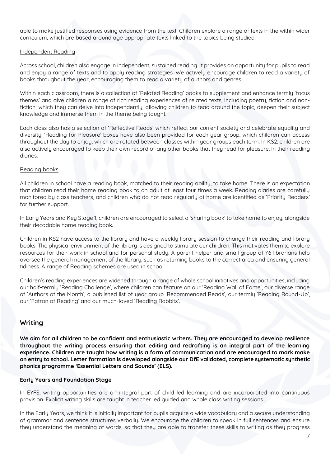able to make justified responses using evidence from the text. Children explore a range of texts in the within wider curriculum, which are based around age appropriate texts linked to the topics being studied.

#### Independent Reading

Across school, children also engage in independent, sustained reading. It provides an opportunity for pupils to read and enjoy a range of texts and to apply reading strategies. We actively encourage children to read a variety of books throughout the year, encouraging them to read a variety of authors and genres.

Within each classroom, there is a collection of 'Related Reading' books to supplement and enhance termly 'focus themes' and give children a range of rich reading experiences of related texts, including poetry, fiction and nonfiction, which they can delve into independently, allowing children to read around the topic, deepen their subject knowledge and immerse them in the theme being taught.

Each class also has a selection of 'Reflective Reads' which reflect our current society and celebrate equality and diversity. 'Reading for Pleasure' boxes have also been provided for each year group, which children can access throughout the day to enjoy, which are rotated between classes within year groups each term. In KS2, children are also actively encouraged to keep their own record of any other books that they read for pleasure, in their reading diaries.

#### Reading books

All children in school have a reading book, matched to their reading ability, to take home. There is an expectation that children read their home reading book to an adult at least four times a week. Reading diaries are carefully monitored by class teachers, and children who do not read regularly at home are identified as 'Priority Readers' for further support.

In Early Years and Key Stage 1, children are encouraged to select a 'sharing book' to take home to enjoy, alongside their decodable home reading book.

Children in KS2 have access to the library and have a weekly library session to change their reading and library books. The physical environment of the library is designed to stimulate our children. This motivates them to explore resources for their work in school and for personal study. A parent helper and small group of Y6 librarians help oversee the general management of the library, such as returning books to the correct area and ensuring general tidiness. A range of Reading schemes are used in school.

Children's reading experiences are widened through a range of whole school initiatives and opportunities, including our half-termly 'Reading Challenge', where children can feature on our 'Reading Wall of Fame', our diverse range of 'Authors of the Month', a published list of year group 'Recommended Reads', our termly 'Reading Round-Up', our 'Patron of Reading' and our much-loved 'Reading Rabbits'.

# **Writing**

**We aim for all children to be confident and enthusiastic writers. They are encouraged to develop resilience throughout the writing process ensuring that editing and redrafting is an integral part of the learning experience. Children are taught how writing is a form of communication and are encouraged to mark make on entry to school. Letter formation is developed alongside our DfE validated, complete systematic synthetic phonics programme 'Essential Letters and Sounds' (ELS).**

#### **Early Years and Foundation Stage**

In EYFS, writing opportunities are an integral part of child led learning and are incorporated into continuous provision. Explicit writing skills are taught in teacher led guided and whole class writing sessions.

In the Early Years, we think it is initially important for pupils acquire a wide vocabulary and a secure understanding of grammar and sentence structures verbally. We encourage the children to speak in full sentences and ensure they understand the meaning of words, so that they are able to transfer these skills to writing as they progress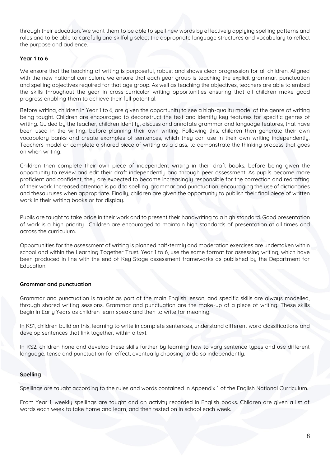through their education. We want them to be able to spell new words by effectively applying spelling patterns and rules and to be able to carefully and skilfully select the appropriate language structures and vocabulary to reflect the purpose and audience.

### **Year 1 to 6**

We ensure that the teaching of writing is purposeful, robust and shows clear progression for all children. Aligned with the new national curriculum, we ensure that each year group is teaching the explicit grammar, punctuation and spelling objectives required for that age group. As well as teaching the objectives, teachers are able to embed the skills throughout the year in cross-curricular writing opportunities ensuring that all children make good progress enabling them to achieve their full potential.

Before writing, children in Year 1 to 6, are given the opportunity to see a high-quality model of the genre of writing being taught. Children are encouraged to deconstruct the text and identify key features for specific genres of writing. Guided by the teacher, children identify, discuss and annotate grammar and language features, that have been used in the writing, before planning their own writing. Following this, children then generate their own vocabulary banks and create examples of sentences, which they can use in their own writing independently. Teachers model or complete a shared piece of writing as a class, to demonstrate the thinking process that goes on when writing.

Children then complete their own piece of independent writing in their draft books, before being given the opportunity to review and edit their draft independently and through peer assessment. As pupils become more proficient and confident, they are expected to become increasingly responsible for the correction and redrafting of their work. Increased attention is paid to spelling, grammar and punctuation, encouraging the use of dictionaries and thesauruses when appropriate. Finally, children are given the opportunity to publish their final piece of written work in their writing books or for display.

Pupils are taught to take pride in their work and to present their handwriting to a high standard. Good presentation of work is a high priority. Children are encouraged to maintain high standards of presentation at all times and across the curriculum.

Opportunities for the assessment of writing is planned half-termly and moderation exercises are undertaken within school and within the Learning Together Trust. Year 1 to 6, use the same format for assessing writing, which have been produced in line with the end of Key Stage assessment frameworks as published by the Department for Education.

#### **Grammar and punctuation**

Grammar and punctuation is taught as part of the main English lesson, and specific skills are always modelled, through shared writing sessions. Grammar and punctuation are the make-up of a piece of writing. These skills begin in Early Years as children learn speak and then to write for meaning.

In KS1, children build on this, learning to write in complete sentences, understand different word classifications and develop sentences that link together, within a text.

In KS2, children hone and develop these skills further by learning how to vary sentence types and use different language, tense and punctuation for effect, eventually choosing to do so independently.

#### **Spelling**

Spellings are taught according to the rules and words contained in Appendix 1 of the English National Curriculum.

From Year 1, weekly spellings are taught and an activity recorded in English books. Children are given a list of words each week to take home and learn, and then tested on in school each week.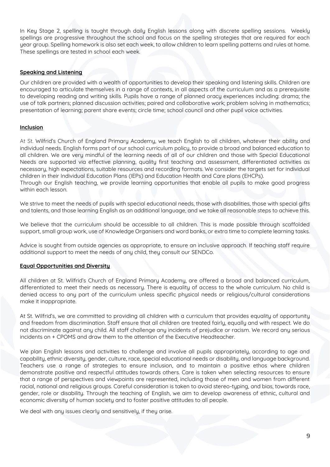In Key Stage 2, spelling is taught through daily English lessons along with discrete spelling sessions. Weekly spellings are progressive throughout the school and focus on the spelling strategies that are required for each year group. Spelling homework is also set each week, to allow children to learn spelling patterns and rules at home. These spellings are tested in school each week.

## **Speaking and Listening**

Our children are provided with a wealth of opportunities to develop their speaking and listening skills. Children are encouraged to articulate themselves in a range of contexts, in all aspects of the curriculum and as a prerequisite to developing reading and writing skills. Pupils have a range of planned oracy experiences including: drama; the use of talk partners; planned discussion activities; paired and collaborative work; problem solving in mathematics; presentation of learning; parent share events; circle time; school council and other pupil voice activities.

## **Inclusion**

At St. Wilfrid's Church of England Primary Academy, we teach English to all children, whatever their ability and individual needs. English forms part of our school curriculum policy, to provide a broad and balanced education to all children. We are very mindful of the learning needs of all of our children and those with Special Educational Needs are supported via effective planning, quality first teaching and assessment, differentiated activities as necessary, high expectations, suitable resources and recording formats. We consider the targets set for individual children in their Individual Education Plans (IEPs) and Education Health and Care plans (EHCPs). Through our English teaching, we provide learning opportunities that enable all pupils to make good progress within each lesson.

We strive to meet the needs of pupils with special educational needs, those with disabilities, those with special gifts and talents, and those learning English as an additional language, and we take all reasonable steps to achieve this.

We believe that the curriculum should be accessible to all children. This is made possible through scaffolded support, small group work, use of Knowledge Organisers and word banks, or extra time to complete learning tasks.

Advice is sought from outside agencies as appropriate, to ensure an inclusive approach. If teaching staff require additional support to meet the needs of any child, they consult our SENDCo.

#### **Equal Opportunities and Diversity**

All children at St. Wilfrid's Church of England Primary Academy, are offered a broad and balanced curriculum, differentiated to meet their needs as necessary. There is equality of access to the whole curriculum. No child is denied access to any part of the curriculum unless specific physical needs or religious/cultural considerations make it inappropriate.

At St. Wilfrid's, we are committed to providing all children with a curriculum that provides equality of opportunity and freedom from discrimination. Staff ensure that all children are treated fairly, equally and with respect. We do not discriminate against any child. All staff challenge any incidents of prejudice or racism. We record any serious incidents on + CPOMS and draw them to the attention of the Executive Headteacher.

We plan English lessons and activities to challenge and involve all pupils appropriately, according to age and capability, ethnic diversity, gender, culture, race, special educational needs or disability, and language background. Teachers use a range of strategies to ensure inclusion, and to maintain a positive ethos where children demonstrate positive and respectful attitudes towards others. Care is taken when selecting resources to ensure that a range of perspectives and viewpoints are represented, including those of men and women from different racial, national and religious groups. Careful consideration is taken to avoid stereo-typing, and bias, towards race, gender, role or disability. Through the teaching of English, we aim to develop awareness of ethnic, cultural and economic diversity of human society and to foster positive attitudes to all people.

We deal with any issues clearly and sensitively, if they arise.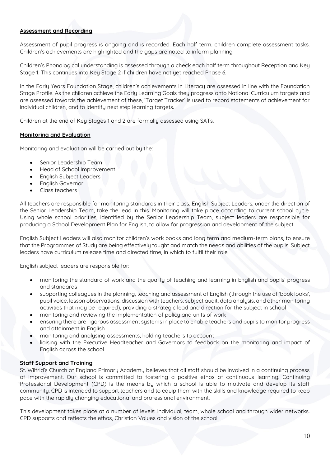### **Assessment and Recording**

Assessment of pupil progress is ongoing and is recorded. Each half term, children complete assessment tasks. Children's achievements are highlighted and the gaps are noted to inform planning.

Children's Phonological understanding is assessed through a check each half term throughout Reception and Key Stage 1. This continues into Key Stage 2 if children have not yet reached Phase 6.

In the Early Years Foundation Stage, children's achievements in Literacy are assessed in line with the Foundation Stage Profile. As the children achieve the Early Learning Goals they progress onto National Curriculum targets and are assessed towards the achievement of these, 'Target Tracker' is used to record statements of achievement for individual children, and to identify next step learning targets.

Children at the end of Key Stages 1 and 2 are formally assessed using SATs.

## **Monitoring and Evaluation**

Monitoring and evaluation will be carried out by the:

- Senior Leadership Team
- Head of School Improvement
- English Subject Leaders
- English Governor
- Class teachers

All teachers are responsible for monitoring standards in their class. English Subject Leaders, under the direction of the Senior Leadership Team, take the lead in this. Monitoring will take place according to current school cycle. Using whole school priorities, identified by the Senior Leadership Team, subject leaders are responsible for producing a School Development Plan for English, to allow for progression and development of the subject.

English Subject Leaders will also monitor children's work books and long term and medium-term plans, to ensure that the Programmes of Study are being effectively taught and match the needs and abilities of the pupils. Subject leaders have curriculum release time and directed time, in which to fulfil their role.

English subject leaders are responsible for:

- monitoring the standard of work and the quality of teaching and learning in English and pupils' progress and standards
- supporting colleagues in the planning, teaching and assessment of English (through the use of 'book looks', pupil voice, lesson observations, discussion with teachers, subject audit, data analysis, and other monitoring activities that may be required), providing a strategic lead and direction for the subject in school
- monitoring and reviewing the implementation of policy and units of work
- ensuring there are rigorous assessment systems in place to enable teachers and pupils to monitor progress and attainment in English
- monitoring and analysing assessments, holding teachers to account
- liaising with the Executive Headteacher and Governors to feedback on the monitoring and impact of English across the school

#### **Staff Support and Training**

St. Wilfrid's Church of England Primary Academy believes that all staff should be involved in a continuing process of improvement. Our school is committed to fostering a positive ethos of continuous learning. Continuing Professional Development (CPD) is the means by which a school is able to motivate and develop its staff community. CPD is intended to support teachers and to equip them with the skills and knowledge required to keep pace with the rapidly changing educational and professional environment.

This development takes place at a number of levels: individual, team, whole school and through wider networks. CPD supports and reflects the ethos, Christian Values and vision of the school.